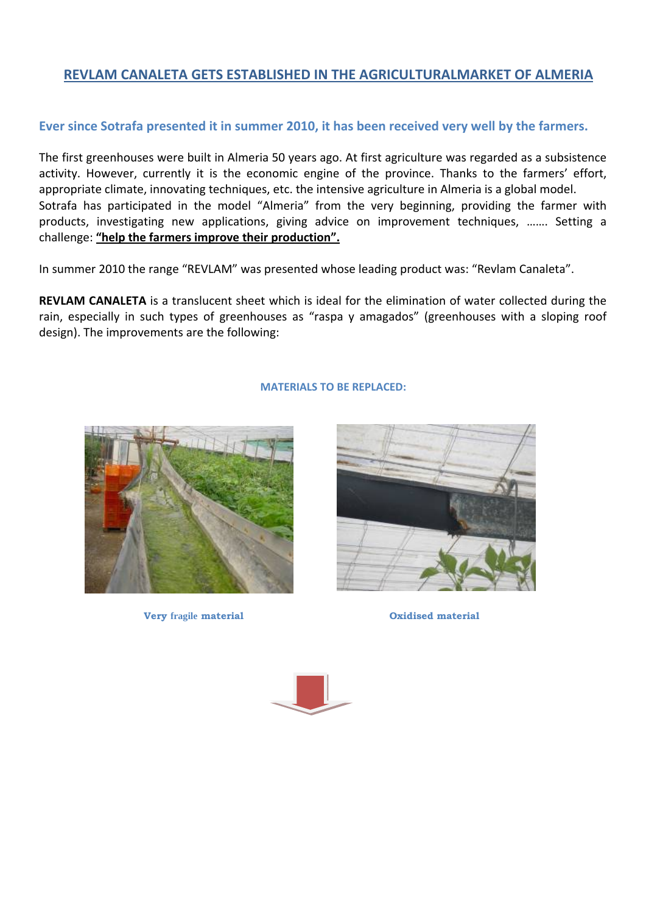# **REVLAM CANALETA GETS ESTABLISHED IN THE AGRICULTURALMARKET OF ALMERIA**

## **Ever since Sotrafa presented it in summer 2010, it has been received very well by the farmers.**

The first greenhouses were built in Almeria 50 years ago. At first agriculture was regarded as a subsistence activity. However, currently it is the economic engine of the province. Thanks to the farmers' effort, appropriate climate, innovating techniques, etc. the intensive agriculture in Almeria is a global model. Sotrafa has participated in the model "Almeria" from the very beginning, providing the farmer with products, investigating new applications, giving advice on improvement techniques, ……. Setting a challenge: **"help the farmers improve their production".**

In summer 2010 the range "REVLAM" was presented whose leading product was: "Revlam Canaleta".

**REVLAM CANALETA** is a translucent sheet which is ideal for the elimination of water collected during the rain, especially in such types of greenhouses as "raspa y amagados" (greenhouses with a sloping roof design). The improvements are the following:

### **MATERIALS TO BE REPLACED:**



**Very fragile material Oxidised material** 



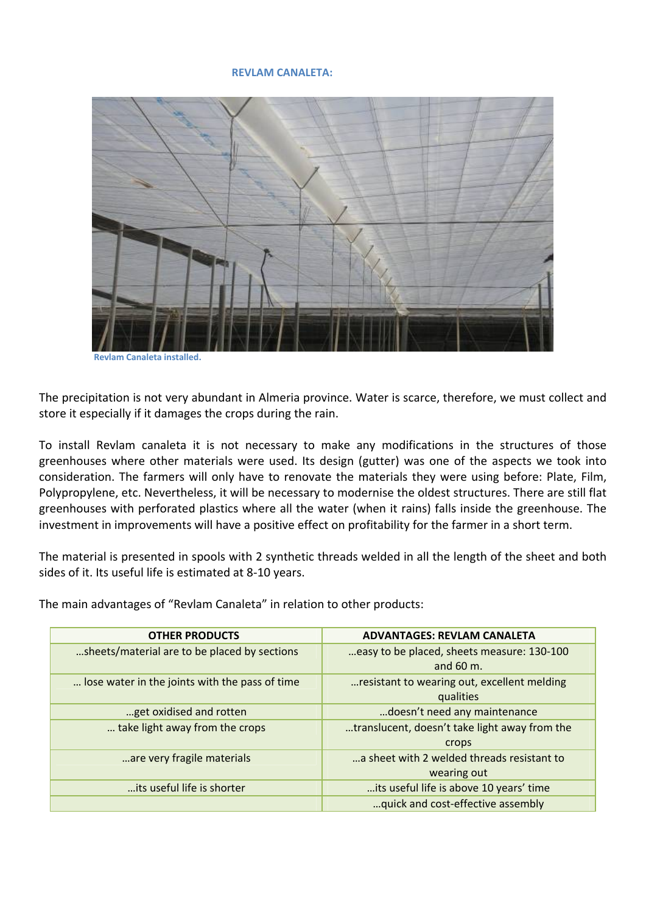#### **REVLAM CANALETA:**



 **Revlam Canaleta installed.**

The precipitation is not very abundant in Almeria province. Water is scarce, therefore, we must collect and store it especially if it damages the crops during the rain.

To install Revlam canaleta it is not necessary to make any modifications in the structures of those greenhouses where other materials were used. Its design (gutter) was one of the aspects we took into consideration. The farmers will only have to renovate the materials they were using before: Plate, Film, Polypropylene, etc. Nevertheless, it will be necessary to modernise the oldest structures. There are still flat greenhouses with perforated plastics where all the water (when it rains) falls inside the greenhouse. The investment in improvements will have a positive effect on profitability for the farmer in a short term.

The material is presented in spools with 2 synthetic threads welded in all the length of the sheet and both sides of it. Its useful life is estimated at 8‐10 years.

The main advantages of "Revlam Canaleta" in relation to other products:

| <b>OTHER PRODUCTS</b>                          | <b>ADVANTAGES: REVLAM CANALETA</b>                       |
|------------------------------------------------|----------------------------------------------------------|
| sheets/material are to be placed by sections   | easy to be placed, sheets measure: 130-100               |
|                                                | and $60 \text{ m}$ .                                     |
| lose water in the joints with the pass of time | resistant to wearing out, excellent melding<br>qualities |
| get oxidised and rotten                        | doesn't need any maintenance                             |
| take light away from the crops                 | translucent, doesn't take light away from the            |
|                                                | crops                                                    |
| are very fragile materials                     | a sheet with 2 welded threads resistant to               |
|                                                | wearing out                                              |
| its useful life is shorter                     | its useful life is above 10 years' time                  |
|                                                | quick and cost-effective assembly                        |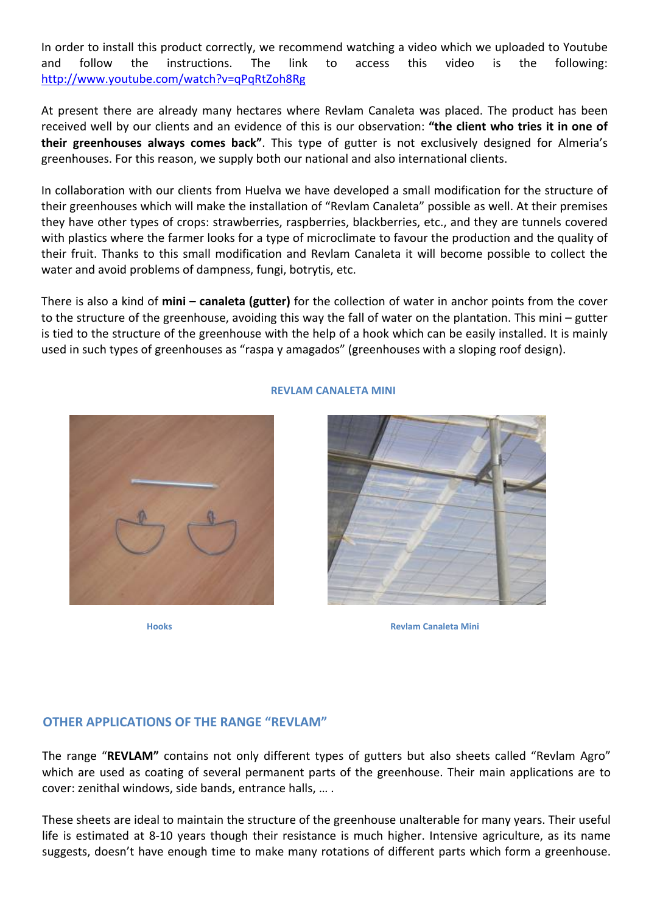In order to install this product correctly, we recommend watching a video which we uploaded to Youtube and follow the instructions. The link to access this video is the following: http://www.youtube.com/watch?v=qPqRtZoh8Rg

At present there are already many hectares where Revlam Canaleta was placed. The product has been received well by our clients and an evidence of this is our observation: **"the client who tries it in one of their greenhouses always comes back"**. This type of gutter is not exclusively designed for Almeria's greenhouses. For this reason, we supply both our national and also international clients.

In collaboration with our clients from Huelva we have developed a small modification for the structure of their greenhouses which will make the installation of "Revlam Canaleta" possible as well. At their premises they have other types of crops: strawberries, raspberries, blackberries, etc., and they are tunnels covered with plastics where the farmer looks for a type of microclimate to favour the production and the quality of their fruit. Thanks to this small modification and Revlam Canaleta it will become possible to collect the water and avoid problems of dampness, fungi, botrytis, etc.

There is also a kind of **mini – canaleta (gutter)** for the collection of water in anchor points from the cover to the structure of the greenhouse, avoiding this way the fall of water on the plantation. This mini – gutter is tied to the structure of the greenhouse with the help of a hook which can be easily installed. It is mainly used in such types of greenhouses as "raspa y amagados" (greenhouses with a sloping roof design).



### **REVLAM CANALETA MINI**



**Hooks Revlam Canaleta Mini**

## **OTHER APPLICATIONS OF THE RANGE "REVLAM"**

The range "**REVLAM"** contains not only different types of gutters but also sheets called "Revlam Agro" which are used as coating of several permanent parts of the greenhouse. Their main applications are to cover: zenithal windows, side bands, entrance halls, … .

These sheets are ideal to maintain the structure of the greenhouse unalterable for many years. Their useful life is estimated at 8‐10 years though their resistance is much higher. Intensive agriculture, as its name suggests, doesn't have enough time to make many rotations of different parts which form a greenhouse.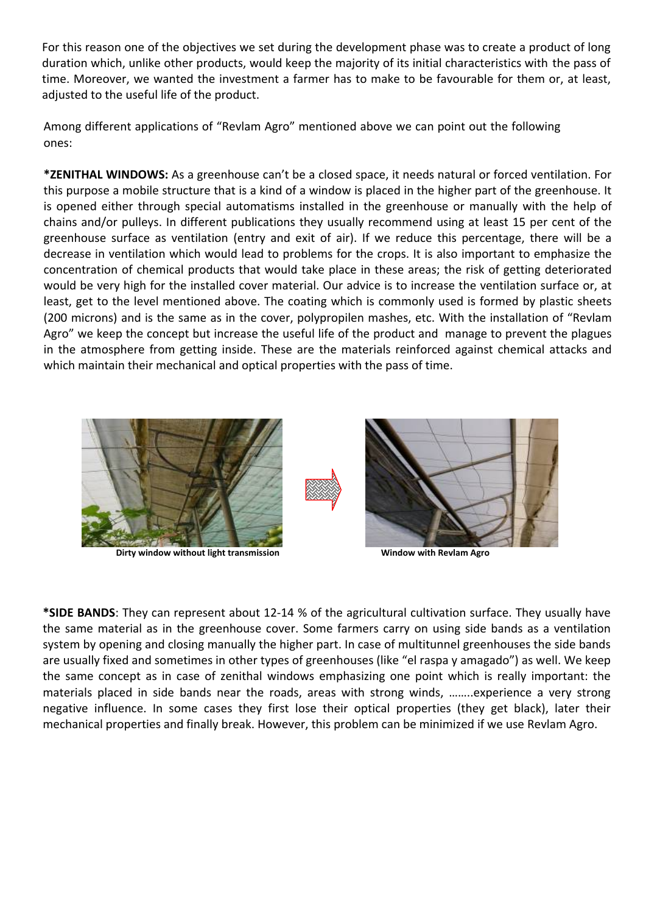For this reason one of the objectives we set during the development phase was to create a product of long duration which, unlike other products, would keep the majority of its initial characteristics with the pass of time. Moreover, we wanted the investment a farmer has to make to be favourable for them or, at least, adjusted to the useful life of the product.

Among different applications of "Revlam Agro" mentioned above we can point out the following ones:

**\*ZENITHAL WINDOWS:** As a greenhouse can't be a closed space, it needs natural or forced ventilation. For this purpose a mobile structure that is a kind of a window is placed in the higher part of the greenhouse. It is opened either through special automatisms installed in the greenhouse or manually with the help of chains and/or pulleys. In different publications they usually recommend using at least 15 per cent of the greenhouse surface as ventilation (entry and exit of air). If we reduce this percentage, there will be a decrease in ventilation which would lead to problems for the crops. It is also important to emphasize the concentration of chemical products that would take place in these areas; the risk of getting deteriorated would be very high for the installed cover material. Our advice is to increase the ventilation surface or, at least, get to the level mentioned above. The coating which is commonly used is formed by plastic sheets (200 microns) and is the same as in the cover, polypropilen mashes, etc. With the installation of "Revlam Agro" we keep the concept but increase the useful life of the product and manage to prevent the plagues in the atmosphere from getting inside. These are the materials reinforced against chemical attacks and which maintain their mechanical and optical properties with the pass of time.



 **Dirty window without light transmission Window with Revlam Agro**

**\*SIDE BANDS**: They can represent about 12‐14 % of the agricultural cultivation surface. They usually have the same material as in the greenhouse cover. Some farmers carry on using side bands as a ventilation system by opening and closing manually the higher part. In case of multitunnel greenhouses the side bands are usually fixed and sometimes in other types of greenhouses (like "el raspa y amagado") as well. We keep the same concept as in case of zenithal windows emphasizing one point which is really important: the materials placed in side bands near the roads, areas with strong winds, ……..experience a very strong negative influence. In some cases they first lose their optical properties (they get black), later their mechanical properties and finally break. However, this problem can be minimized if we use Revlam Agro.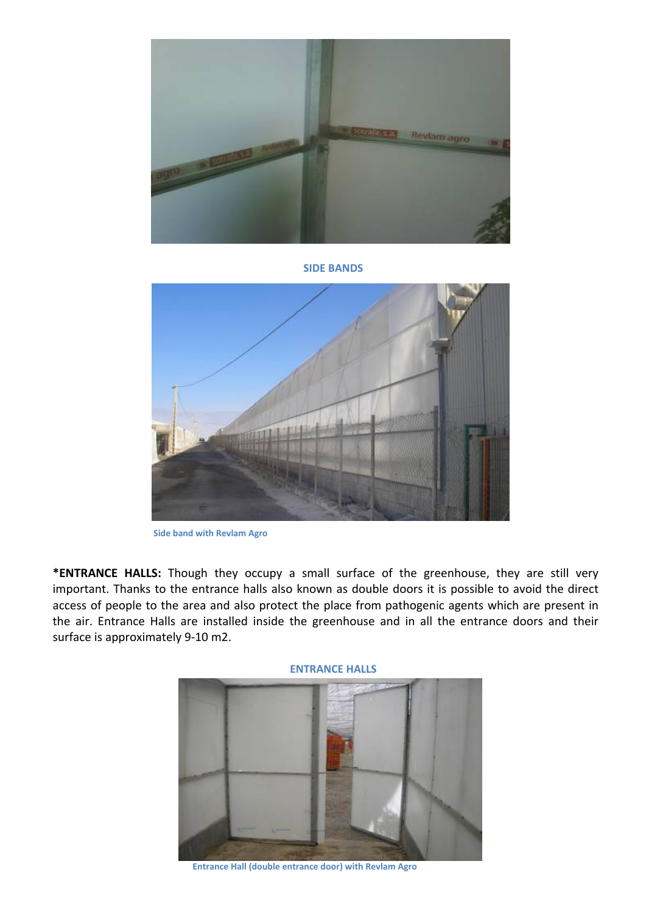

**SIDE BANDS**



 **Side band with Revlam Agro**

**\*ENTRANCE HALLS:** Though they occupy a small surface of the greenhouse, they are still very important. Thanks to the entrance halls also known as double doors it is possible to avoid the direct access of people to the area and also protect the place from pathogenic agents which are present in the air. Entrance Halls are installed inside the greenhouse and in all the entrance doors and their surface is approximately 9‐10 m2.



 **Entrance Hall (double entrance door) with Revlam Agro**